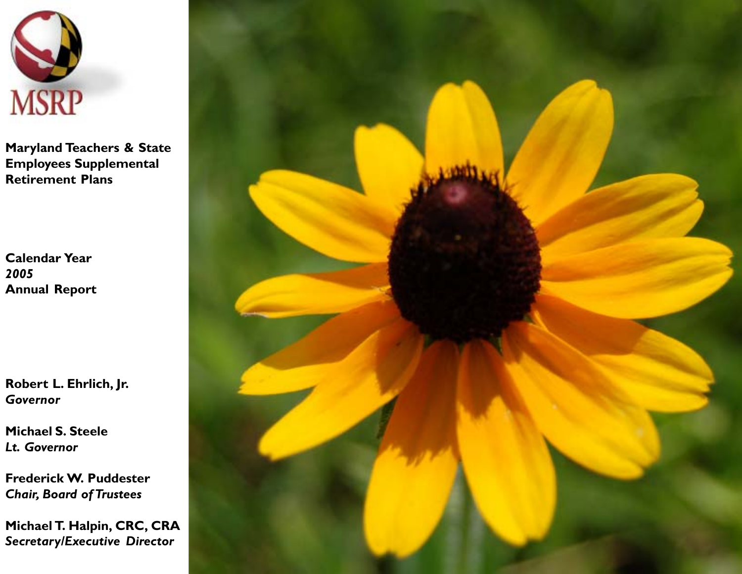

**Maryland Teachers & State Employees Supplemental Retirement Plans**

**Calendar Year** *2005* **Annual Report**

**Robert L. Ehrlich, Jr.** *Governor*

**Michael S. Steele** *Lt. Governor*

**Frederick W. Puddester** *Chair, Board of Trustees*

**Michael T. Halpin, CRC, CRA** *Secretary/Executive Director*

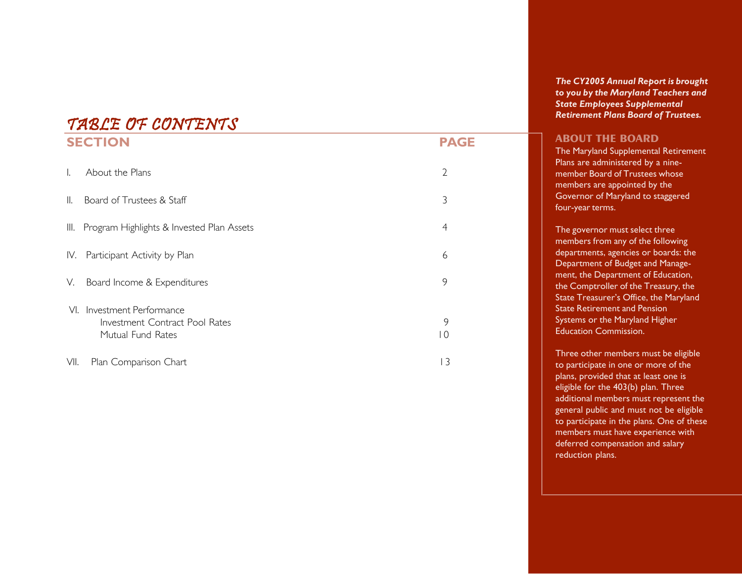# TABLE OF CONTENTS

|      | <b>SECTION</b>                                                                       | <b>PAGE</b>         |
|------|--------------------------------------------------------------------------------------|---------------------|
| I.   | About the Plans                                                                      | $\overline{2}$      |
| II.  | Board of Trustees & Staff                                                            | 3                   |
| III. | Program Highlights & Invested Plan Assets                                            | 4                   |
| IV.  | Participant Activity by Plan                                                         | 6                   |
| V.   | Board Income & Expenditures                                                          | 9                   |
| VI.  | Investment Performance<br><b>Investment Contract Pool Rates</b><br>Mutual Fund Rates | 9<br>$\overline{0}$ |
| VII. | Plan Comparison Chart                                                                | 3                   |

*The CY2005 Annual Report is brought to you by the Maryland Teachers and State Employees Supplemental Retirement Plans Board of Trustees.*

### **ABOUT THE BOARD**

The Maryland Supplemental Retirement Plans are administered by a ninemember Board of Trustees whose members are appointed by the Governor of Maryland to staggered four-year terms.

The governor must select three members from any of the following departments, agencies or boards: the Department of Budget and Management, the Department of Education, the Comptroller of the Treasury, the State Treasurer's Office, the Maryland State Retirement and Pension **Systems or the Maryland Higher** Education Commission.

Three other members must be eligible to participate in one or more of the plans, provided that at least one is eligible for the 403(b) plan. Three additional members must represent the general public and must not be eligible to participate in the plans. One of these members must have experience with deferred compensation and salary reduction plans.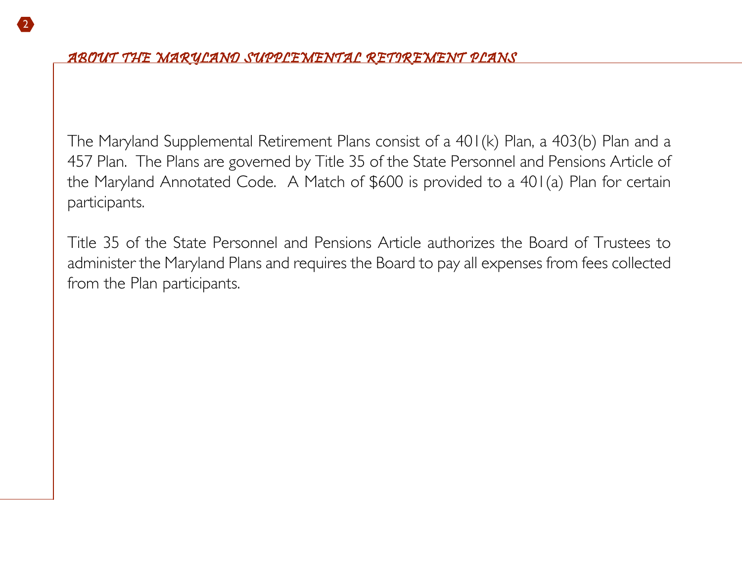The Maryland Supplemental Retirement Plans consist of a 401(k) Plan, a 403(b) Plan and a 457 Plan. The Plans are governed by Title 35 of the State Personnel and Pensions Article of the Maryland Annotated Code. A Match of \$600 is provided to a 401(a) Plan for certain participants.

Title 35 of the State Personnel and Pensions Article authorizes the Board of Trustees to administer the Maryland Plans and requires the Board to pay all expenses from fees collected from the Plan participants.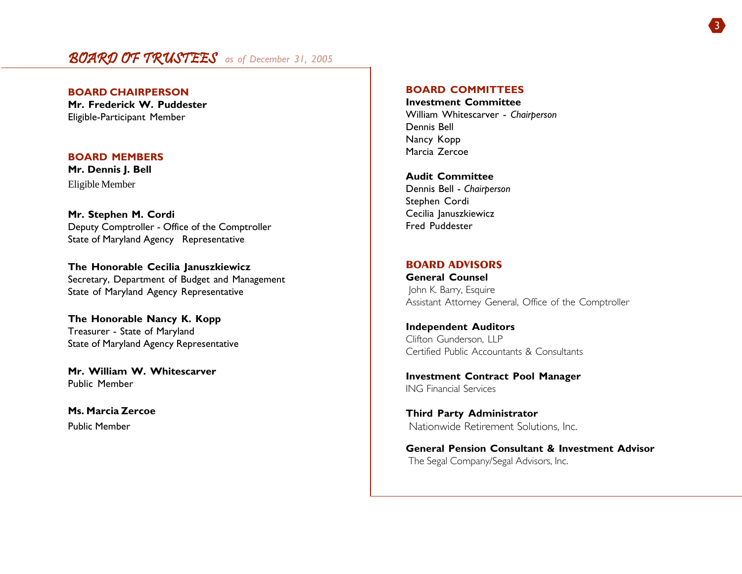# BOARD OF TRUSTEES *as of December 31, 2005*

**BOARD CHAIRPERSON Mr. Frederick W. Puddester** Eligible-Participant Member

### **BOARD MEMBERS**

**Mr. Dennis J. Bell** Eligible Member

**Mr. Stephen M. Cordi** Deputy Comptroller - Office of the Comptroller State of Maryland Agency Representative

**The Honorable Cecilia Januszkiewicz** Secretary, Department of Budget and Management State of Maryland Agency Representative

**The Honorable Nancy K. Kopp** Treasurer - State of Maryland State of Maryland Agency Representative

**Mr. William W. Whitescarver** Public Member

**Ms. Marcia Zercoe** Public Member

### **BOARD COMMITTEES**

**Investment Committee** William Whitescarver - *Chairperson* Dennis Bell Nancy Kopp Marcia Zercoe

**Audit Committee** Dennis Bell - *Chairperson* Stephen Cordi Cecilia Januszkiewicz Fred Puddester

### **BOARD ADVISORS**

**General Counsel** John K. Barry, Esquire Assistant Attorney General, Office of the Comptroller

**Independent Auditors** Clifton Gunderson, LLP Certified Public Accountants & Consultants

**Investment Contract Pool Manager** ING Financial Services

**Third Party Administrator** Nationwide Retirement Solutions, Inc.

**General Pension Consultant & Investment Advisor** The Segal Company/Segal Advisors, Inc.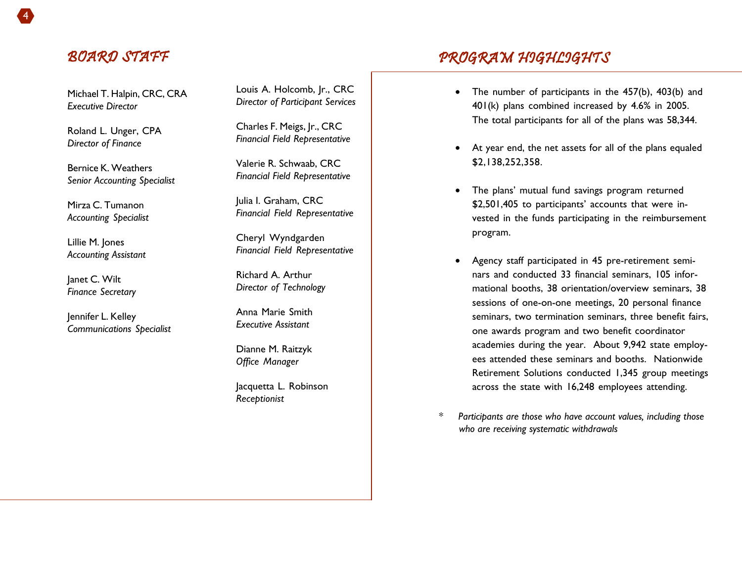# BOARD STAFF

Michael T. Halpin, CRC, CRA *Executive Director*

Roland L. Unger, CPA *Director of Finance*

Bernice K. Weathers *Senior Accounting Specialist*

Mirza C. Tumanon *Accounting Specialist*

Lillie M. Jones *Accounting Assistant*

lanet C. Wilt *Finance Secretary*

Jennifer L. Kelley *Communications Specialist* Louis A. Holcomb, Jr., CRC *Director of Participant Services*

Charles F. Meigs, Jr., CRC *Financial Field Representative*

Valerie R. Schwaab, CRC *Financial Field Representative*

Julia I. Graham, CRC *Financial Field Representative*

Cheryl Wyndgarden *Financial Field Representative*

Richard A. Arthur *Director of Technology*

Anna Marie Smith *Executive Assistant*

Dianne M. Raitzyk *Office Manager*

Jacquetta L. Robinson *Receptionist*

- PROGRAM HIGHLIGHTS
	- • The number of participants in the 457(b), 403(b) and 401(k) plans combined increased by 4.6% in 2005. The total participants for all of the plans was 58,344.
	- At year end, the net assets for all of the plans equaled \$2,138,252,358.
	- $\bullet$  The plans' mutual fund savings program returned \$2,501,405 to participants' accounts that were invested in the funds participating in the reimbursement program.
	- Agency staff participated in 45 pre-retirement seminars and conducted 33 financial seminars, 105 informational booths, 38 orientation/overview seminars, 38 sessions of one-on-one meetings, 20 personal finance seminars, two termination seminars, three benefit fairs, one awards program and two benefit coordinator academies during the year. About 9,942 state employees attended these seminars and booths. Nationwide Retirement Solutions conducted 1,345 group meetings across the state with 16,248 employees attending.
- *\* Participants are those who have account values, including those who are receiving systematic withdrawals*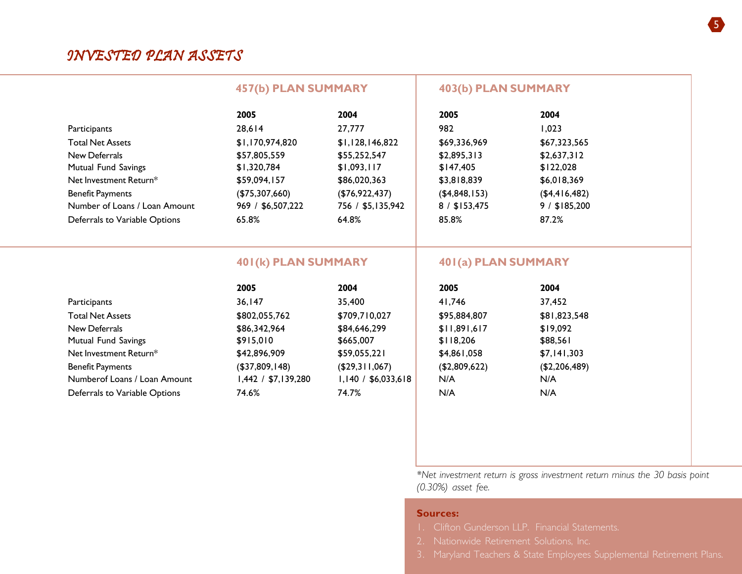| 2005                | 2004                | 2005                                              | 2004           |                                            |
|---------------------|---------------------|---------------------------------------------------|----------------|--------------------------------------------|
| 28,614              | 27,777              | 982                                               | 1,023          |                                            |
| \$1,170,974,820     | \$1,128,146,822     | \$69,336,969                                      | \$67,323,565   |                                            |
| \$57,805,559        | \$55,252,547        | \$2,895,313                                       | \$2,637,312    |                                            |
| \$1,320,784         | \$1,093,117         | \$147,405                                         | \$122,028      |                                            |
| \$59,094,157        | \$86,020,363        | \$3,818,839                                       | \$6,018,369    |                                            |
| (\$75,307,660)      | (\$76,922,437)      | (\$4,848,153)                                     | (\$4,416,482)  |                                            |
| 969 / \$6,507,222   | 756 / \$5,135,942   | 8 / \$153,475                                     | $9/$ \$185,200 |                                            |
| 65.8%               | 64.8%               | 85.8%                                             | 87.2%          |                                            |
|                     |                     |                                                   |                |                                            |
|                     |                     |                                                   |                |                                            |
| 2005                | 2004                | 2005                                              | 2004           |                                            |
| 36, 147             | 35,400              | 41,746                                            | 37,452         |                                            |
| \$802,055,762       | \$709,710,027       | \$95,884,807                                      | \$81,823,548   |                                            |
| \$86,342,964        | \$84,646,299        | \$11,891,617                                      | \$19,092       |                                            |
| \$915,010           | \$665,007           | \$118,206                                         | \$88,561       |                                            |
| \$42,896,909        | \$59,055,221        | \$4,861,058                                       | \$7,141,303    |                                            |
| (\$37,809,148)      | (\$29,311,067)      | (\$2,809,622)                                     | (\$2,206,489)  |                                            |
| 1,442 / \$7,139,280 | 1,140 / \$6,033,618 | N/A                                               | N/A            |                                            |
| 74.6%               | 74.7%               | N/A                                               | N/A            |                                            |
|                     |                     |                                                   |                |                                            |
|                     |                     |                                                   |                |                                            |
|                     |                     |                                                   |                |                                            |
|                     |                     |                                                   |                |                                            |
|                     |                     | <b>457(b) PLAN SUMMARY</b><br>401(k) PLAN SUMMARY |                | 403(b) PLAN SUMMARY<br>401(a) PLAN SUMMARY |

*\*Net investment return is gross investment return minus the 30 basis point (0.30%) asset fee.*

### **Sources:**

- 
- 
-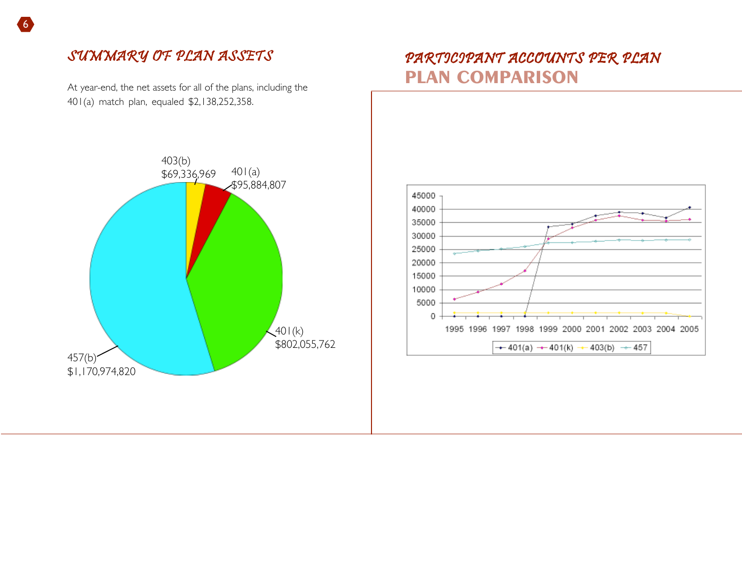# SUMMARY OF PLAN ASSETS

At year-end, the net assets for all of the plans, including the 401(a) match plan, equaled \$2,138,252,358.

# PARTICIPANT ACCOUNTS PER PLAN **PLAN COMPARISON**



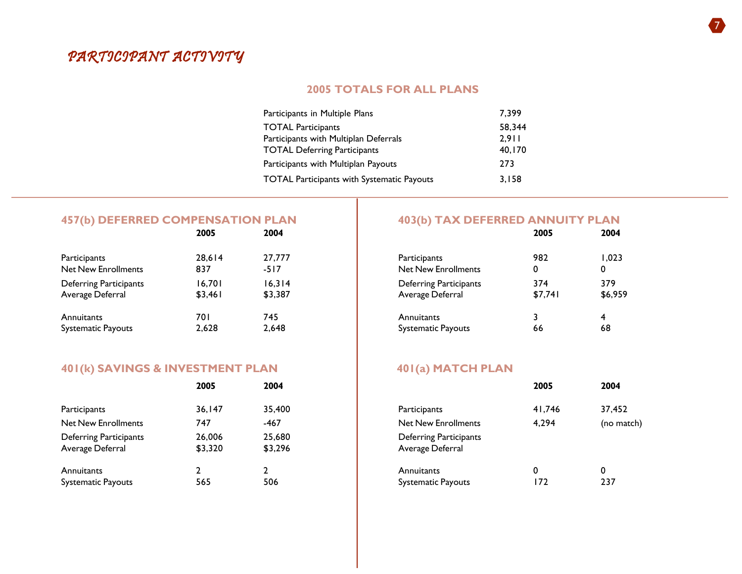# PARTICIPANT ACTIVITY

### **2005 TOTALS FOR ALL PLANS**

| Participants in Multiple Plans                    | 7.399  |
|---------------------------------------------------|--------|
| <b>TOTAL Participants</b>                         | 58,344 |
| Participants with Multiplan Deferrals             | 2.911  |
| <b>TOTAL Deferring Participants</b>               | 40,170 |
| Participants with Multiplan Payouts               | 273    |
| <b>TOTAL Participants with Systematic Payouts</b> | 3,158  |

# **457(b) DEFERRED COMPENSATION PLAN** 403(b) TAX DEFERRED ANNUITY PLAN 2004

|                               | 2005    | 2004    |                               | 2005    | 2004    |
|-------------------------------|---------|---------|-------------------------------|---------|---------|
| Participants                  | 28.614  | 27,777  | Participants                  | 982     | 1.023   |
| <b>Net New Enrollments</b>    | 837     | $-517$  | <b>Net New Enrollments</b>    | 0       | 0       |
| <b>Deferring Participants</b> | 16.701  | 16.314  | <b>Deferring Participants</b> | 374     | 379     |
| Average Deferral              | \$3,461 | \$3,387 | Average Deferral              | \$7,741 | \$6,959 |
| Annuitants                    | 701     | 745     | Annuitants                    |         |         |
| <b>Systematic Payouts</b>     | 2,628   | 2,648   | <b>Systematic Payouts</b>     | 66      | 68      |

## **401(k) SAVINGS & INVESTMENT PLAN 401(a) MATCH PLAN**

|                                                   | 2005              | 2004              |                                                   | 2005   | 2004   |
|---------------------------------------------------|-------------------|-------------------|---------------------------------------------------|--------|--------|
| Participants                                      | 36.147            | 35,400            | Participants                                      | 41,746 | 37,452 |
| Net New Enrollments                               | 747               | -467              | <b>Net New Enrollments</b>                        | 4.294  | (no ma |
| <b>Deferring Participants</b><br>Average Deferral | 26,006<br>\$3,320 | 25,680<br>\$3,296 | <b>Deferring Participants</b><br>Average Deferral |        |        |
| Annuitants                                        |                   |                   | Annuitants                                        | 0      | 0      |
| <b>Systematic Payouts</b>                         | 565               | 506               | <b>Systematic Payouts</b>                         | 172    | 237    |

| 2005     | 2004    |                               | 2005    | 2004    |
|----------|---------|-------------------------------|---------|---------|
| 28,614   | 27,777  | Participants                  | 982     | 1.023   |
| 837      | $-517$  | <b>Net New Enrollments</b>    | 0       | 0       |
| 16,701   | 16,314  | <b>Deferring Participants</b> | 374     | 379     |
| \$3,46 I | \$3,387 | Average Deferral              | \$7,741 | \$6,959 |
| 70 I     | 745     | Annuitants                    | 66      | 4       |
| 2,628    | 2,648   | <b>Systematic Payouts</b>     |         | 68      |
|          |         |                               |         |         |

|                                            | 2005              | 2004              |                                                   | 2005   | 2004       |
|--------------------------------------------|-------------------|-------------------|---------------------------------------------------|--------|------------|
| Participants                               | 36,147            | 35,400            | Participants                                      | 41.746 | 37.452     |
| Net New Enrollments                        | 747               | -467              | <b>Net New Enrollments</b>                        | 4,294  | (no match) |
| Deferring Participants<br>Average Deferral | 26,006<br>\$3,320 | 25,680<br>\$3,296 | <b>Deferring Participants</b><br>Average Deferral |        |            |
| Annuitants                                 |                   |                   | Annuitants                                        |        |            |
| Systematic Payouts                         | 565               | 506               | <b>Systematic Payouts</b>                         | 172    | 237        |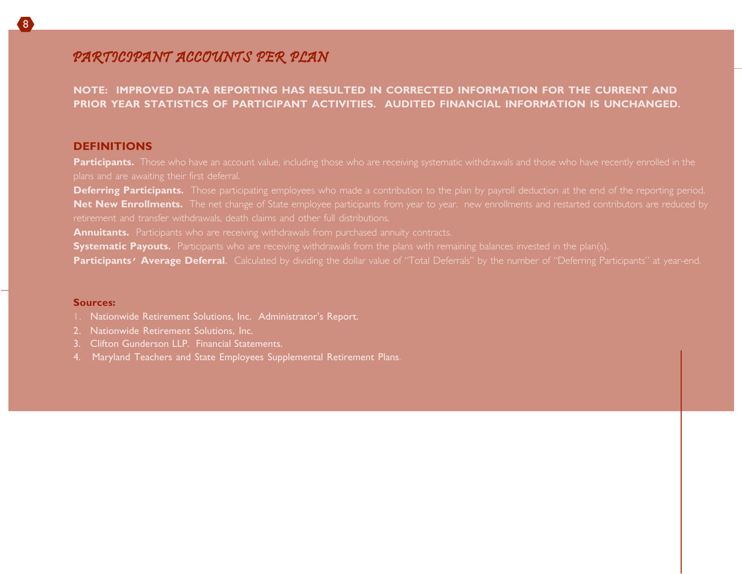# PARTICIPANT ACCOUNTS PER PLAN

**NOTE: IMPROVED DATA REPORTING HAS RESULTED IN CORRECTED INFORMATION FOR THE CURRENT AND PRIOR YEAR STATISTICS OF PARTICIPANT ACTIVITIES. AUDITED FINANCIAL INFORMATION IS UNCHANGED.**

### **DEFINITIONS**

8

Participants. Those who have an account value, including those who are receiving systematic withdrawals and those who have recently enrolled in the

**Deferring Participants.** Those participating employees who made a contribution to the plan by payroll deduction at the end of the reporting period. **Net New Enrollments.** The net change of State employee participants from year to year. new enrollments and restarted contributors are reduced by retirement and transfer withdrawals, death claims and other full distributions.

**Annuitants.** Participants who are receiving withdrawals from purchased annuity contracts.

**Systematic Payouts.** Participants who are receiving withdrawals from the plans with remaining balances invested in the plan(s).

**Participants<sup></sup>** Average Deferral. Calculated by dividing the dollar value of "Total Deferrals" by the number of "Deferring Participants" at year-end.

#### **Sources:**

- 1. Nationwide Retirement Solutions, Inc. Administrator's Report.
- 2. Nationwide Retirement Solutions, Inc.
- 3. Clifton Gunderson LLP. Financial Statements.
- 4. Maryland Teachers and State Employees Supplemental Retirement Plans.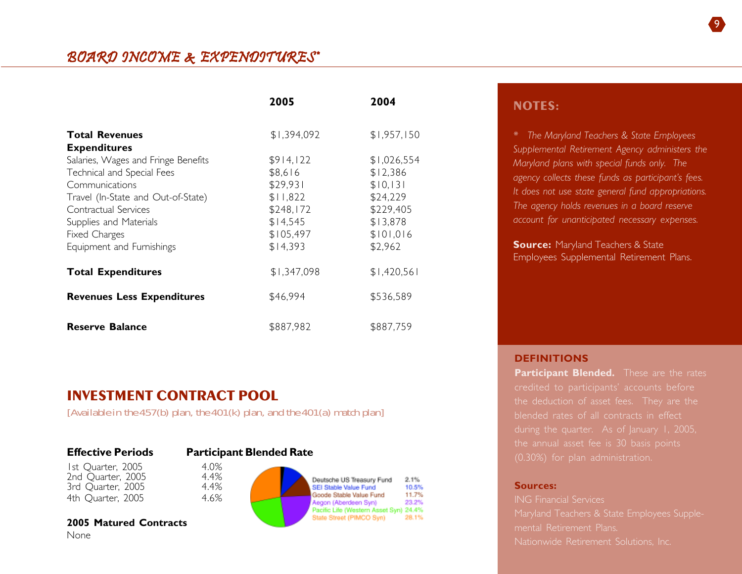|                                                                                                                                                                                                                           | 2005                                                                                           | 2004                                                                                             |
|---------------------------------------------------------------------------------------------------------------------------------------------------------------------------------------------------------------------------|------------------------------------------------------------------------------------------------|--------------------------------------------------------------------------------------------------|
| <b>Total Revenues</b><br><b>Expenditures</b>                                                                                                                                                                              | \$1,394,092                                                                                    | \$1,957,150                                                                                      |
| Salaries, Wages and Fringe Benefits<br>Technical and Special Fees<br>Communications<br>Travel (In-State and Out-of-State)<br>Contractual Services<br>Supplies and Materials<br>Fixed Charges<br>Equipment and Furnishings | \$914,122<br>\$8,616<br>\$29,931<br>\$11,822<br>\$248,172<br>\$14,545<br>\$105,497<br>\$14,393 | \$1,026,554<br>\$12,386<br>\$10,131<br>\$24,229<br>\$229,405<br>\$13,878<br>\$101,016<br>\$2,962 |
| <b>Total Expenditures</b>                                                                                                                                                                                                 | \$1,347,098                                                                                    | \$1,420,561                                                                                      |
| <b>Revenues Less Expenditures</b>                                                                                                                                                                                         | \$46,994                                                                                       | \$536,589                                                                                        |
| <b>Reserve Balance</b>                                                                                                                                                                                                    | \$887,982                                                                                      | \$887,759                                                                                        |

## **NOTES:**

*\* The Maryland Teachers & State Employees Supplemental Retirement Agency administers the Maryland plans with special funds only. The agency collects these funds as participant's fees. It does not use state general fund appropriations. The agency holds revenues in a board reserve account for unanticipated necessary expenses.*

**Source: Maryland Teachers & State** Employees Supplemental Retirement Plans.

# **INVESTMENT CONTRACT POOL**

*[Available in the 457(b) plan, the 401(k) plan, and the 401(a) match plan]*

### **Effective Periods Participant Blended Rate**

1st Quarter, 2005 4.0%<br>2nd Ouarter, 2005 4.4% 2nd Quarter, 2005 4.4% 3rd Ouarter, 2005. 4th Quarter, 2005 4.6%

**2005 Matured Contracts**



2.1%

10.5%

11.7%

23.2%

28.1%

### **DEFINITIONS**

**Participant Blended.** These are the rates credited to participants' accounts before the deduction of asset fees. They are the blended rates of all contracts in effect the annual asset fee is 30 basis points

### **Sources:**

ING Financial Services Maryland Teachers & State Employees Supplemental Retirement Plans. Nationwide Retirement Solutions, Inc.

None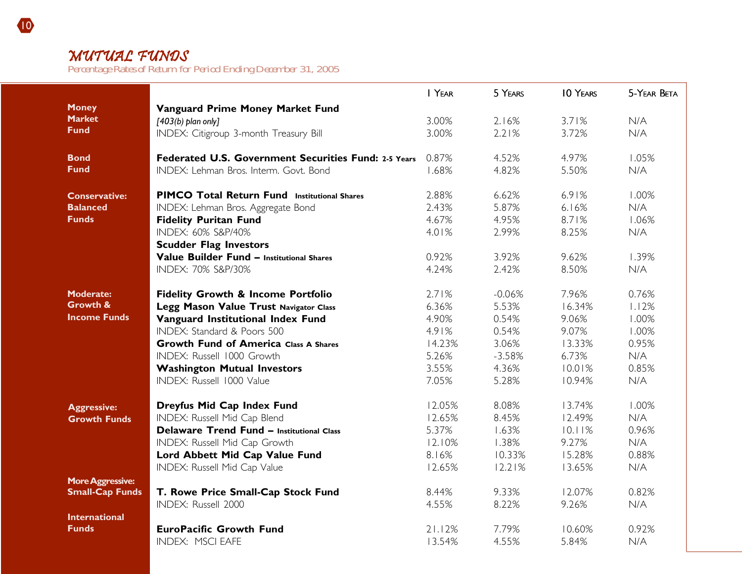# MUTUAL FUNDS

*Percentage Rates of Return for Period Ending December 31, 2005*

|                         |                                                      | I YEAR | 5 YEARS  | <b>10 YEARS</b> | 5-YEAR BETA |
|-------------------------|------------------------------------------------------|--------|----------|-----------------|-------------|
| <b>Money</b>            | Vanguard Prime Money Market Fund                     |        |          |                 |             |
| <b>Market</b>           | $[403(b)$ plan only]                                 | 3.00%  | 2.16%    | 3.71%           | N/A         |
| <b>Fund</b>             | INDEX: Citigroup 3-month Treasury Bill               | 3.00%  | 2.21%    | 3.72%           | N/A         |
|                         |                                                      |        |          |                 |             |
| <b>Bond</b>             | Federated U.S. Government Securities Fund: 2-5 Years | 0.87%  | 4.52%    | 4.97%           | 1.05%       |
| <b>Fund</b>             | INDEX: Lehman Bros. Interm. Govt. Bond               | 1.68%  | 4.82%    | 5.50%           | N/A         |
| <b>Conservative:</b>    | <b>PIMCO Total Return Fund Institutional Shares</b>  | 2.88%  | 6.62%    | 6.91%           | 1.00%       |
| <b>Balanced</b>         | INDEX: Lehman Bros. Aggregate Bond                   | 2.43%  | 5.87%    | 6.16%           | N/A         |
| <b>Funds</b>            | <b>Fidelity Puritan Fund</b>                         | 4.67%  | 4.95%    | 8.71%           | 1.06%       |
|                         | INDEX: 60% S&P/40%                                   | 4.01%  | 2.99%    | 8.25%           | N/A         |
|                         | <b>Scudder Flag Investors</b>                        |        |          |                 |             |
|                         | Value Builder Fund - Institutional Shares            | 0.92%  | 3.92%    | 9.62%           | 1.39%       |
|                         | INDEX: 70% S&P/30%                                   | 4.24%  | 2.42%    | 8.50%           | N/A         |
|                         |                                                      |        |          |                 |             |
| <b>Moderate:</b>        | <b>Fidelity Growth &amp; Income Portfolio</b>        | 2.71%  | $-0.06%$ | 7.96%           | 0.76%       |
| Growth &                | Legg Mason Value Trust Navigator Class               | 6.36%  | 5.53%    | 16.34%          | 1.12%       |
| <b>Income Funds</b>     | Vanguard Institutional Index Fund                    | 4.90%  | 0.54%    | 9.06%           | 1.00%       |
|                         | INDEX: Standard & Poors 500                          | 4.91%  | 0.54%    | 9.07%           | 1.00%       |
|                         | <b>Growth Fund of America Class A Shares</b>         | 14.23% | 3.06%    | 13.33%          | 0.95%       |
|                         | INDEX: Russell 1000 Growth                           | 5.26%  | $-3.58%$ | 6.73%           | N/A         |
|                         | <b>Washington Mutual Investors</b>                   | 3.55%  | 4.36%    | 10.01%          | 0.85%       |
|                         | INDEX: Russell 1000 Value                            | 7.05%  | 5.28%    | 10.94%          | N/A         |
| <b>Aggressive:</b>      | Dreyfus Mid Cap Index Fund                           | 12.05% | 8.08%    | 13.74%          | 1.00%       |
| <b>Growth Funds</b>     | INDEX: Russell Mid Cap Blend                         | 12.65% | 8.45%    | 12.49%          | N/A         |
|                         | <b>Delaware Trend Fund - Institutional Class</b>     | 5.37%  | 1.63%    | 10.11%          | 0.96%       |
|                         | INDEX: Russell Mid Cap Growth                        | 12.10% | 1.38%    | 9.27%           | N/A         |
|                         | Lord Abbett Mid Cap Value Fund                       | 8.16%  | 10.33%   | 15.28%          | 0.88%       |
|                         | INDEX: Russell Mid Cap Value                         | 12.65% | 12.21%   | 13.65%          | N/A         |
| <b>More Aggressive:</b> |                                                      |        |          |                 |             |
| <b>Small-Cap Funds</b>  | T. Rowe Price Small-Cap Stock Fund                   | 8.44%  | 9.33%    | 12.07%          | 0.82%       |
|                         | INDEX: Russell 2000                                  | 4.55%  | 8.22%    | 9.26%           | N/A         |
| <b>International</b>    |                                                      |        |          |                 |             |
| <b>Funds</b>            | <b>EuroPacific Growth Fund</b>                       | 21.12% | 7.79%    | 10.60%          | 0.92%       |
|                         | <b>INDEX: MSCI EAFE</b>                              | 13.54% | 4.55%    | 5.84%           | N/A         |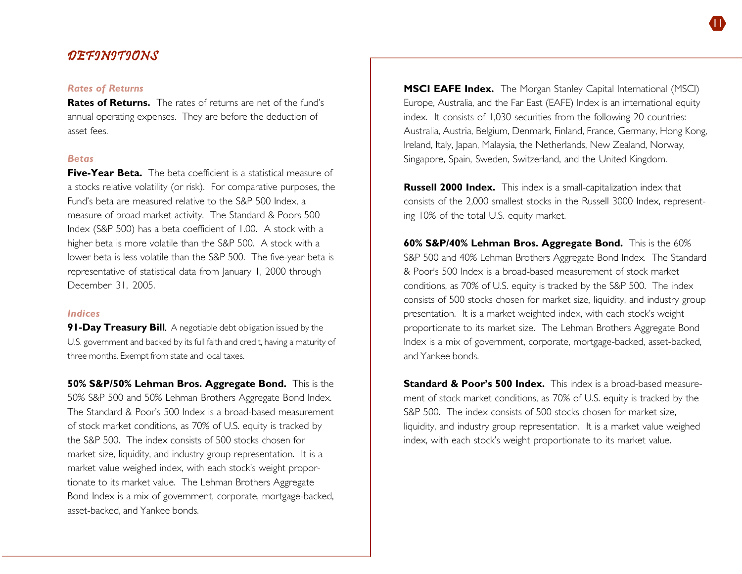# DEFINITIONS

### *Rates of Returns*

**Rates of Returns.** The rates of returns are net of the fund's annual operating expenses. They are before the deduction of asset fees.

#### *Betas*

**Five-Year Beta.** The beta coefficient is a statistical measure of a stocks relative volatility (or risk). For comparative purposes, the Fund's beta are measured relative to the S&P 500 Index, a measure of broad market activity. The Standard & Poors 500 Index (S&P 500) has a beta coefficient of 1.00. A stock with a higher beta is more volatile than the S&P 500. A stock with a lower beta is less volatile than the S&P 500. The five-year beta is representative of statistical data from January 1, 2000 through December 31, 2005.

#### *Indices*

**91-Day Treasury Bill.** A negotiable debt obligation issued by the U.S. government and backed by its full faith and credit, having a maturity of three months. Exempt from state and local taxes.

**50% S&P/50% Lehman Bros. Aggregate Bond.** This is the 50% S&P 500 and 50% Lehman Brothers Aggregate Bond Index. The Standard & Poor's 500 Index is a broad-based measurement of stock market conditions, as 70% of U.S. equity is tracked by the S&P 500. The index consists of 500 stocks chosen for market size, liquidity, and industry group representation. It is a market value weighed index, with each stock's weight proportionate to its market value. The Lehman Brothers Aggregate Bond Index is a mix of government, corporate, mortgage-backed, asset-backed, and Yankee bonds.

**MSCI EAFE Index.** The Morgan Stanley Capital International (MSCI) Europe, Australia, and the Far East (EAFE) Index is an international equity index. It consists of 1,030 securities from the following 20 countries: Australia, Austria, Belgium, Denmark, Finland, France, Germany, Hong Kong, Ireland, Italy, Japan, Malaysia, the Netherlands, New Zealand, Norway, Singapore, Spain, Sweden, Switzerland, and the United Kingdom.

**Russell 2000 Index.** This index is a small-capitalization index that consists of the 2,000 smallest stocks in the Russell 3000 Index, representing 10% of the total U.S. equity market.

**60% S&P/40% Lehman Bros. Aggregate Bond.** This is the 60% S&P 500 and 40% Lehman Brothers Aggregate Bond Index. The Standard & Poor's 500 Index is a broad-based measurement of stock market conditions, as 70% of U.S. equity is tracked by the S&P 500. The index consists of 500 stocks chosen for market size, liquidity, and industry group presentation. It is a market weighted index, with each stock's weight proportionate to its market size. The Lehman Brothers Aggregate Bond Index is a mix of government, corporate, mortgage-backed, asset-backed, and Yankee bonds.

**Standard & Poor's 500 Index.** This index is a broad-based measurement of stock market conditions, as 70% of U.S. equity is tracked by the S&P 500. The index consists of 500 stocks chosen for market size, liquidity, and industry group representation. It is a market value weighed index, with each stock's weight proportionate to its market value.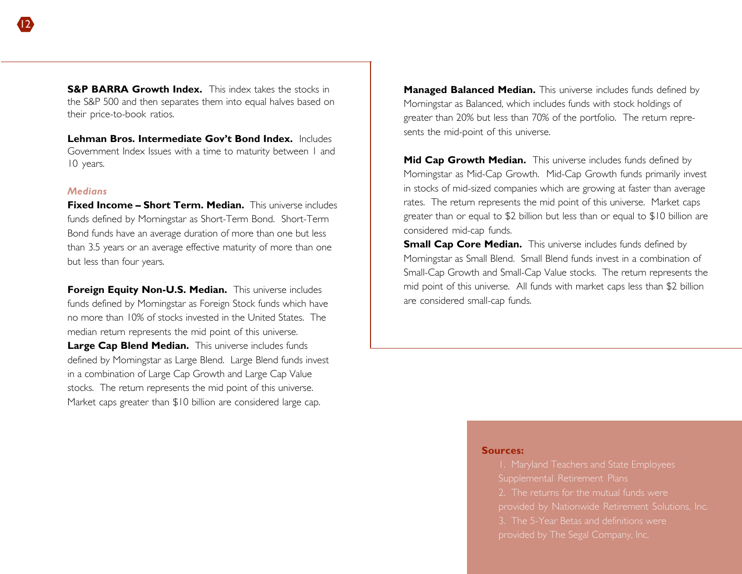**S&P BARRA Growth Index.** This index takes the stocks in the S&P 500 and then separates them into equal halves based on their price-to-book ratios.

**Lehman Bros. Intermediate Gov't Bond Index.** Includes Government Index Issues with a time to maturity between 1 and 10 years.

### *Medians*

**Fixed Income – Short Term. Median.** This universe includes funds defined by Morningstar as Short-Term Bond. Short-Term Bond funds have an average duration of more than one but less than 3.5 years or an average effective maturity of more than one but less than four years.

**Foreign Equity Non-U.S. Median.** This universe includes funds defined by Morningstar as Foreign Stock funds which have no more than 10% of stocks invested in the United States. The median return represents the mid point of this universe. Large Cap Blend Median. This universe includes funds defined by Morningstar as Large Blend. Large Blend funds invest in a combination of Large Cap Growth and Large Cap Value stocks. The return represents the mid point of this universe. Market caps greater than \$10 billion are considered large cap.

**Managed Balanced Median.** This universe includes funds defined by Morningstar as Balanced, which includes funds with stock holdings of greater than 20% but less than 70% of the portfolio. The return represents the mid-point of this universe.

**Mid Cap Growth Median.** This universe includes funds defined by Morningstar as Mid-Cap Growth. Mid-Cap Growth funds primarily invest in stocks of mid-sized companies which are growing at faster than average rates. The return represents the mid point of this universe. Market caps greater than or equal to \$2 billion but less than or equal to \$10 billion are considered mid-cap funds.

**Small Cap Core Median.** This universe includes funds defined by Morningstar as Small Blend. Small Blend funds invest in a combination of Small-Cap Growth and Small-Cap Value stocks. The return represents the mid point of this universe. All funds with market caps less than \$2 billion are considered small-cap funds.

#### **Sources:**

Supplemental Retirement Plans provided by Nationwide Retirement Solutions, Inc. 3. The 5-Year Betas and definitions were provided by The Segal Company, Inc.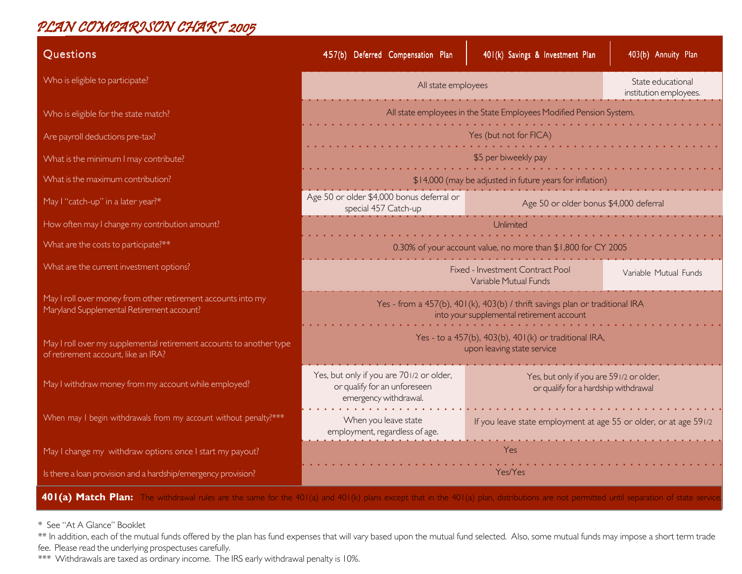# PLAN COMPARISON CHART 2005

| Questions                                                                                                  | 457(b) Deferred Compensation Plan                                                                                                                                                     | 401(k) Savings & Investment Plan                                                                                          | 403(b) Annuity Plan |  |  |
|------------------------------------------------------------------------------------------------------------|---------------------------------------------------------------------------------------------------------------------------------------------------------------------------------------|---------------------------------------------------------------------------------------------------------------------------|---------------------|--|--|
| Who is eligible to participate?                                                                            | All state employees                                                                                                                                                                   | State educational<br>institution employees.                                                                               |                     |  |  |
| Who is eligible for the state match?                                                                       | All state employees in the State Employees Modified Pension System.                                                                                                                   |                                                                                                                           |                     |  |  |
| Are payroll deductions pre-tax?                                                                            | Yes (but not for FICA)                                                                                                                                                                |                                                                                                                           |                     |  |  |
| What is the minimum I may contribute?                                                                      |                                                                                                                                                                                       | \$5 per biweekly pay                                                                                                      |                     |  |  |
| What is the maximum contribution?                                                                          |                                                                                                                                                                                       | \$14,000 (may be adjusted in future years for inflation)                                                                  |                     |  |  |
| May I "catch-up" in a later year?*                                                                         | Age 50 or older \$4,000 bonus deferral or<br>special 457 Catch-up                                                                                                                     | Age 50 or older bonus \$4,000 deferral                                                                                    |                     |  |  |
| How often may I change my contribution amount?                                                             | Unlimiter                                                                                                                                                                             |                                                                                                                           |                     |  |  |
| What are the costs to participate?**                                                                       | 0.30% of your account value, no more than \$1,800 for CY 2005                                                                                                                         |                                                                                                                           |                     |  |  |
| What are the current investment options?                                                                   | Fixed - Investment Contract Pool<br>Variable Mutual Funds<br>Variable Mutual Funds                                                                                                    |                                                                                                                           |                     |  |  |
| May I roll over money from other retirement accounts into my<br>Maryland Supplemental Retirement account?  |                                                                                                                                                                                       | Yes - from a 457(b), 401(k), 403(b) / thrift savings plan or traditional IRA<br>into your supplemental retirement account |                     |  |  |
| May I roll over my supplemental retirement accounts to another type<br>of retirement account, like an IRA? |                                                                                                                                                                                       | Yes - to a 457(b), 403(b), 401(k) or traditional IRA,<br>upon leaving state service                                       |                     |  |  |
| May I withdraw money from my account while employed?                                                       | Yes, but only if you are 701/2 or older,<br>Yes, but only if you are 591/2 or older,<br>or qualify for an unforeseen<br>or qualify for a hardship withdrawal<br>emergency withdrawal. |                                                                                                                           |                     |  |  |
| When may I begin withdrawals from my account without penalty?***                                           | When you leave state<br>If you leave state employment at age 55 or older, or at age 591/2<br>employment, regardless of age.                                                           |                                                                                                                           |                     |  |  |
| May I change my withdraw options once I start my payout?                                                   | Yes                                                                                                                                                                                   |                                                                                                                           |                     |  |  |
| Is there a loan provision and a hardship/emergency provision?                                              | Yes/Yes                                                                                                                                                                               |                                                                                                                           |                     |  |  |

**401(a) Match Plan:** The withdrawal rules are the same for the 401(a) and 401(k) plans except that in the 401(a) plan, distributions are not permitted until separation of state service.

\* See "At A Glance" Booklet

\*\* In addition, each of the mutual funds offered by the plan has fund expenses that will vary based upon the mutual fund selected. Also, some mutual funds may impose a short term trade fee. Please read the underlying prospectuses carefully.

\*\*\* Withdrawals are taxed as ordinary income. The IRS early withdrawal penalty is 10%.